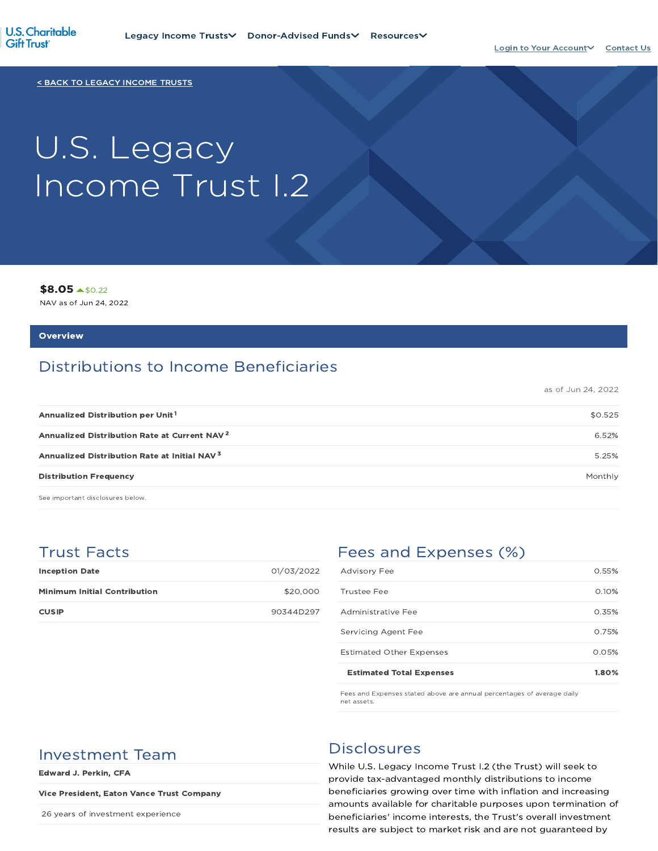

< BACK TO LEGACY INCOME TRUSTS

# U.S. Legacy Income Trust I.2

\$8.05 \$0.22

NAV as of Jun 24, 2022

#### **Overview**

# Distributions to Income Beneficiaries

as of Jun 24, 2022

| Annualized Distribution per Unit <sup>1</sup>            | \$0.525 |
|----------------------------------------------------------|---------|
| Annualized Distribution Rate at Current NAV <sup>2</sup> | 6.52%   |
| Annualized Distribution Rate at Initial NAV <sup>3</sup> | 5.25%   |
| <b>Distribution Frequency</b>                            | Monthly |

See important disclosures below.

## Trust Facts

| <b>Inception Date</b>               | 01/03/2022 |
|-------------------------------------|------------|
| <b>Minimum Initial Contribution</b> | \$20,000   |
| <b>CUSIP</b>                        | 90344D297  |

# Fees and Expenses (%)

| <b>Estimated Total Expenses</b> | 1.80% |
|---------------------------------|-------|
| <b>Estimated Other Expenses</b> | 0.05% |
| Servicing Agent Fee             | 0.75% |
| Administrative Fee              | 0.35% |
| Trustee Fee                     | 0.10% |
| <b>Advisory Fee</b>             | 0.55% |

Fees and Expenses stated above are annual percentages of average daily net assets.

# Investment Team Disclosures

Edward J. Perkin, CFA

#### Vice President, Eaton Vance Trust Company

26 years of investment experience

While U.S. Legacy Income Trust I.2 (the Trust) will seek to provide tax-advantaged monthly distributions to income beneficiaries growing over time with inflation and increasing amounts available for charitable purposes upon termination of beneficiaries' income interests, the Trust's overall investment results are subject to market risk and are not guaranteed by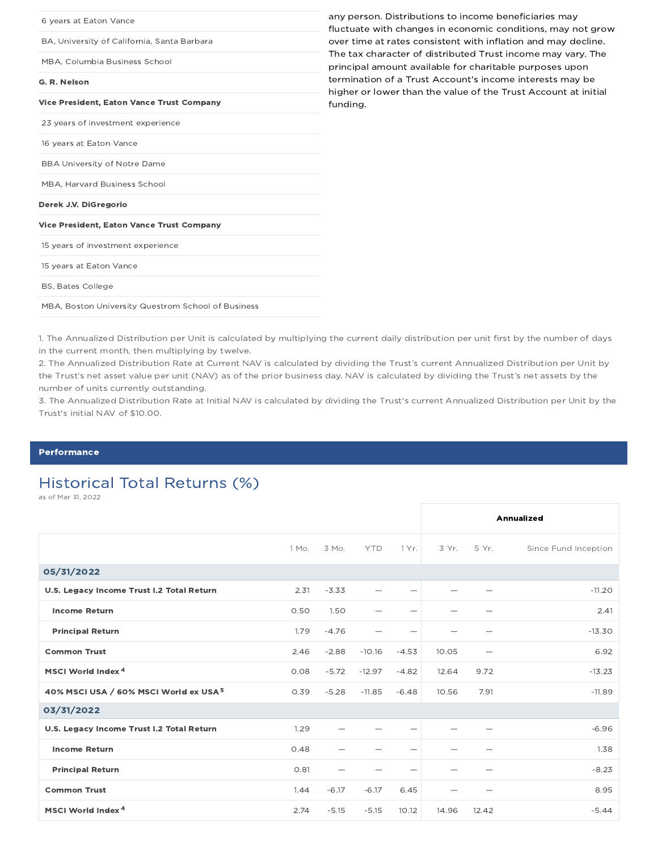| 6 years at Eaton Vance                             | any person. Distributions to income beneficiaries may<br>fluctuate with changes in economic conditions, may not grow       |
|----------------------------------------------------|----------------------------------------------------------------------------------------------------------------------------|
| BA, University of California, Santa Barbara        | over time at rates consistent with inflation and may decline.                                                              |
| MBA, Columbia Business School                      | The tax character of distributed Trust income may vary. The<br>principal amount available for charitable purposes upon     |
| G. R. Nelson                                       | termination of a Trust Account's income interests may be<br>higher or lower than the value of the Trust Account at initial |
| <b>Vice President, Eaton Vance Trust Company</b>   | funding.                                                                                                                   |
| 23 years of investment experience                  |                                                                                                                            |
| 16 years at Eaton Vance                            |                                                                                                                            |
| <b>BBA University of Notre Dame</b>                |                                                                                                                            |
| MBA, Harvard Business School                       |                                                                                                                            |
| Derek J.V. DiGregorio                              |                                                                                                                            |
| Vice President, Eaton Vance Trust Company          |                                                                                                                            |
| 15 years of investment experience                  |                                                                                                                            |
| 15 years at Eaton Vance                            |                                                                                                                            |
| <b>BS, Bates College</b>                           |                                                                                                                            |
| MBA, Boston University Questrom School of Business |                                                                                                                            |

1. The Annualized Distribution per Unit is calculated by multiplying the current daily distribution per unit first by the number of days in the current month, then multiplying by twelve.

2. The Annualized Distribution Rate at Current NAV is calculated by dividing the Trust's current Annualized Distribution per Unit by the Trust's net asset value per unit (NAV) as of the prior business day. NAV is calculated by dividing the Trust's net assets by the number of units currently outstanding.

3. The Annualized Distribution Rate at Initial NAV is calculated by dividing the Trust's current Annualized Distribution per Unit by the Trust's initial NAV of \$10.00.

#### Performance

# Historical Total Returns (%)

as of Mar 31, 2022

|                                                   |       |         |            |                          |         |                          | <b>Annualized</b>    |
|---------------------------------------------------|-------|---------|------------|--------------------------|---------|--------------------------|----------------------|
|                                                   | 1 Mo. | 3 Mo.   | <b>YTD</b> | 1 Yr.                    | $3Yr$ . | 5 Yr.                    | Since Fund Inception |
| 05/31/2022                                        |       |         |            |                          |         |                          |                      |
| U.S. Legacy Income Trust I.2 Total Return         | 2.31  | $-3.33$ |            | -                        |         |                          | $-11.20$             |
| <b>Income Return</b>                              | 0.50  | 1.50    |            | -                        |         |                          | 2.41                 |
| <b>Principal Return</b>                           | 1.79  | $-4.76$ |            | $\overline{\phantom{0}}$ |         |                          | $-13.30$             |
| <b>Common Trust</b>                               | 2.46  | $-2.88$ | $-10.16$   | $-4.53$                  | 10.05   | $\overline{\phantom{0}}$ | 6.92                 |
| MSCI World Index <sup>4</sup>                     | 0.08  | $-5.72$ | $-12.97$   | $-4.82$                  | 12.64   | 9.72                     | $-13.23$             |
| 40% MSCI USA / 60% MSCI World ex USA <sup>5</sup> | 0.39  | $-5.28$ | $-11.85$   | $-6.48$                  | 10.56   | 7.91                     | $-11.89$             |
| 03/31/2022                                        |       |         |            |                          |         |                          |                      |
| U.S. Legacy Income Trust I.2 Total Return         | 1.29  |         |            | $\overline{\phantom{0}}$ |         |                          | $-6.96$              |
| <b>Income Return</b>                              | 0.48  |         |            | -                        |         |                          | 1.38                 |
| <b>Principal Return</b>                           | 0.81  |         |            | -                        |         |                          | $-8.23$              |
| <b>Common Trust</b>                               | 1.44  | $-6.17$ | $-6.17$    | 6.45                     |         |                          | 8.95                 |
| MSCI World Index <sup>4</sup>                     | 2.74  | $-5.15$ | $-5.15$    | 10.12                    | 14.96   | 12.42                    | $-5.44$              |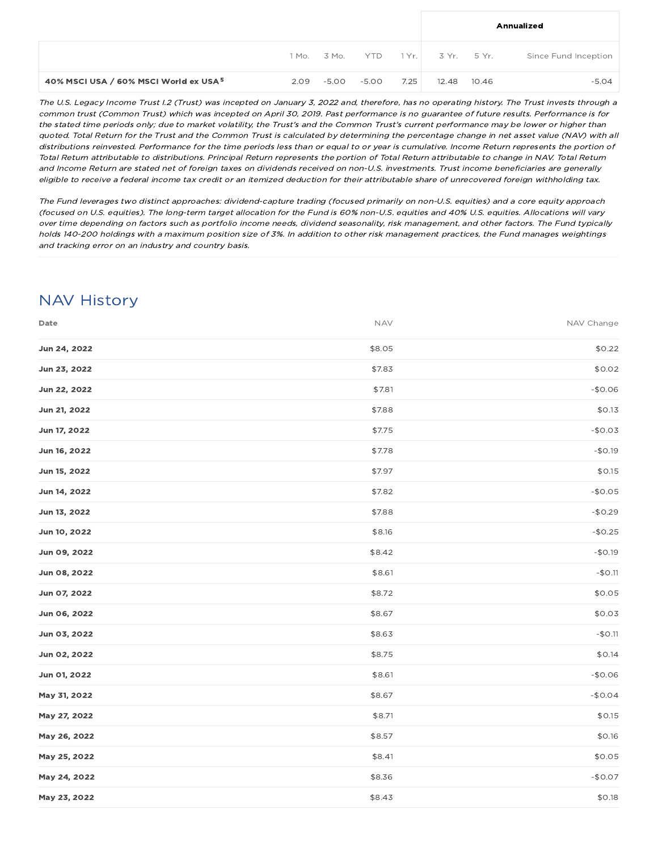|                                                   |      |       |       |      |                                   |       | Annualized           |
|---------------------------------------------------|------|-------|-------|------|-----------------------------------|-------|----------------------|
|                                                   |      |       |       |      | 1 Mo. 3 Mo. YTD 1 Yr. 3 Yr. 5 Yr. |       | Since Fund Inception |
| 40% MSCI USA / 60% MSCI World ex USA <sup>5</sup> | 2.09 | -5.00 | -5.00 | 7.25 | 12.48                             | 10.46 | $-5.04$              |

The U.S. Legacy Income Trust I.2 (Trust) was incepted on January 3, 2022 and, therefore, has no operating history. The Trust invests through <sup>a</sup> common trust (Common Trust) which was incepted on April 30, 2019. Past performance is no guarantee of future results. Performance is for the stated time periods only; due to market volatility, the Trust's and the Common Trust's current performance may be lower or higher than quoted. Total Return for the Trust and the Common Trust is calculated by determining the percentage change in net asset value (NAV) with all distributions reinvested. Performance for the time periods less than or equal to or year is cumulative. Income Return represents the portion of Total Return attributable to distributions. Principal Return represents the portion of Total Return attributable to change in NAV. Total Return and Income Return are stated net of foreign taxes on dividends received on non-U.S. investments. Trust income beneficiaries are generally eligible to receive <sup>a</sup> federal income tax credit or an itemized deduction for their attributable share of unrecovered foreign withholding tax.

The Fund leverages two distinct approaches: dividend-capture trading (focused primarily on non-U.S. equities) and <sup>a</sup> core equity approach (focused on U.S. equities). The long-term target allocation for the Fund is 60% non-U.S. equities and 40% U.S. equities. Allocations will vary over time depending on factors such as portfolio income needs, dividend seasonality, risk management, and other factors. The Fund typically holds 140-200 holdings with <sup>a</sup> maximum position size of 3%. In addition to other risk management practices, the Fund manages weightings and tracking error on an industry and country basis.

# NAV History

| Date         | <b>NAV</b> | NAV Change |
|--------------|------------|------------|
| Jun 24, 2022 | \$8.05     | \$0.22     |
| Jun 23, 2022 | \$7.83     | \$0.02     |
| Jun 22, 2022 | \$7.81     | $-$0.06$   |
| Jun 21, 2022 | \$7.88     | \$0.13     |
| Jun 17, 2022 | \$7.75     | $-$0.03$   |
| Jun 16, 2022 | \$7.78     | $-$0.19$   |
| Jun 15, 2022 | \$7.97     | \$0.15     |
| Jun 14, 2022 | \$7.82     | $-$0.05$   |
| Jun 13, 2022 | \$7.88     | $-$0.29$   |
| Jun 10, 2022 | \$8.16     | $-$0.25$   |
| Jun 09, 2022 | \$8.42     | $-$0.19$   |
| Jun 08, 2022 | \$8.61     | $-$0.11$   |
| Jun 07, 2022 | \$8.72     | \$0.05     |
| Jun 06, 2022 | \$8.67     | \$0.03     |
| Jun 03, 2022 | \$8.63     | $-$0.11$   |
| Jun 02, 2022 | \$8.75     | \$0.14     |
| Jun 01, 2022 | \$8.61     | $-$0.06$   |
| May 31, 2022 | \$8.67     | $-$0.04$   |
| May 27, 2022 | \$8.71     | \$0.15     |
| May 26, 2022 | \$8.57     | \$0.16     |
| May 25, 2022 | \$8.41     | \$0.05     |
| May 24, 2022 | \$8.36     | $-$0.07$   |
| May 23, 2022 | \$8.43     | \$0.18     |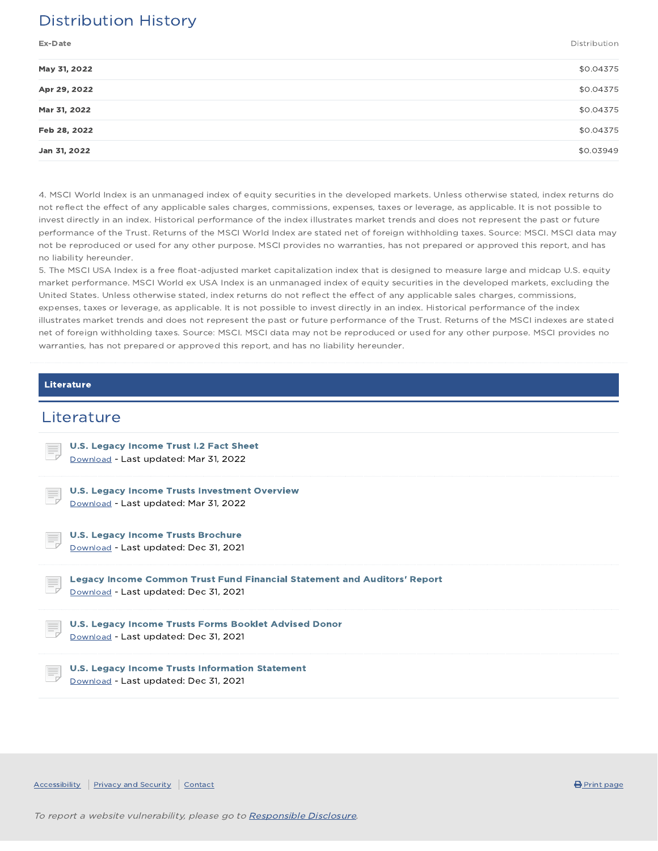# Distribution History

Ex-Date Distribution

| \$0.04375 |
|-----------|
| \$0.04375 |
| \$0.04375 |
| \$0.04375 |
| \$0.03949 |
|           |

4. MSCI World Index is an unmanaged index of equity securities in the developed markets. Unless otherwise stated, index returns do not reflect the effect of any applicable sales charges, commissions, expenses, taxes or leverage, as applicable. It is not possible to invest directly in an index. Historical performance of the index illustrates market trends and does not represent the past or future performance of the Trust. Returns of the MSCI World Index are stated net of foreign withholding taxes. Source: MSCI. MSCI data may not be reproduced or used for any other purpose. MSCI provides no warranties, has not prepared or approved this report, and has no liability hereunder.

5. The MSCI USA Index is a free float-adjusted market capitalization index that is designed to measure large and midcap U.S. equity market performance. MSCI World ex USA Index is an unmanaged index of equity securities in the developed markets, excluding the United States. Unless otherwise stated, index returns do not reflect the effect of any applicable sales charges, commissions, expenses, taxes or leverage, as applicable. It is not possible to invest directly in an index. Historical performance of the index illustrates market trends and does not represent the past or future performance of the Trust. Returns of the MSCI indexes are stated net of foreign withholding taxes. Source: MSCI. MSCI data may not be reproduced or used for any other purpose. MSCI provides no warranties, has not prepared or approved this report, and has no liability hereunder.

#### Literature

### **Literature**

| <b>U.S. Legacy Income Trust I.2 Fact Sheet</b><br>E,<br>Download - Last updated: Mar 31, 2022                                  |
|--------------------------------------------------------------------------------------------------------------------------------|
| <b>U.S. Legacy Income Trusts Investment Overview</b><br>Ę<br>Download - Last updated: Mar 31, 2022                             |
| <b>U.S. Legacy Income Trusts Brochure</b><br>E,<br>Download - Last updated: Dec 31, 2021                                       |
| <b>Legacy Income Common Trust Fund Financial Statement and Auditors' Report</b><br>Ξ,<br>Download - Last updated: Dec 31, 2021 |
| U.S. Legacy Income Trusts Forms Booklet Advised Donor<br>E,<br>Download - Last updated: Dec 31, 2021                           |
| U.S. Legacy Income Trusts Information Statement<br>E.                                                                          |

Accessibility Privacy and Security Contact **Contact Contact Contact Contact Contact Contact Contact** Print page